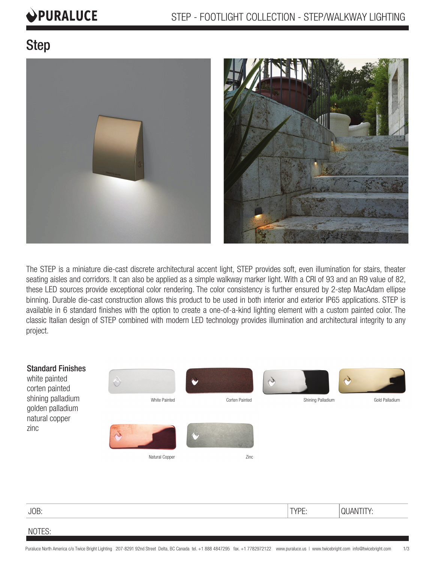# PURALUCE

## Step



The STEP is a miniature die-cast discrete architectural accent light, STEP provides soft, even illumination for stairs, theater seating aisles and corridors. It can also be applied as a simple walkway marker light. With a CRI of 93 and an R9 value of 82, these LED sources provide exceptional color rendering. The color consistency is further ensured by 2-step MacAdam ellipse binning. Durable die-cast construction allows this product to be used in both interior and exterior IP65 applications. STEP is available in 6 standard finishes with the option to create a one-of-a-kind lighting element with a custom painted color. The classic Italian design of STEP combined with modern LED technology provides illumination and architectural integrity to any project.



| JOB:   | <b>TVDE</b><br>$1$ If $L_1$ | $\overline{\phantom{a}}$<br>. IAI <sup>V</sup><br>$\sim$ . And the first section of $\sim$ |
|--------|-----------------------------|--------------------------------------------------------------------------------------------|
| NOTES: |                             |                                                                                            |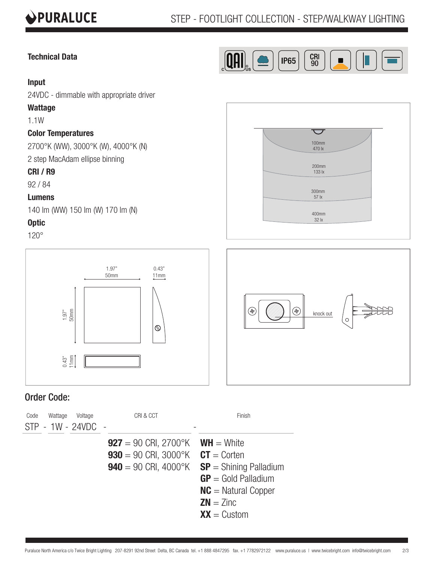

#### **Technical Data**



100mm 470 lx

 $\overline{\smash{\bigtriangledown}}$ 

200mm

#### **Input**

24VDC - dimmable with appropriate driver

#### **Wattage**

1.1W

#### **Color Temperatures**

2700°K (WW), 3000°K (W), 4000°K (N)

2 step MacAdam ellipse binning

#### **CRI / R9**

92 / 84

#### **Lumens**

140 lm (WW) 150 lm (W) 170 lm (N)

#### **Optic**

120°





### Order Code:

| Voltage<br>Code<br>Wattage<br>STP - 1W - 24VDC - | CRI & CCT                                                                                                            | Finish                                                                                                     |
|--------------------------------------------------|----------------------------------------------------------------------------------------------------------------------|------------------------------------------------------------------------------------------------------------|
|                                                  | <b>927</b> = 90 CRI, 2700°K <b>WH</b> = White<br><b>930</b> = 90 CRI, 3000°K $CT =$ Corten<br>$940 = 90$ CRI, 4000°K | $SP =$ Shining Palladium<br>$GP = Gold Palladium$<br>$NC =$ Natural Copper<br>$ZN = Zinc$<br>$XX =$ Custom |